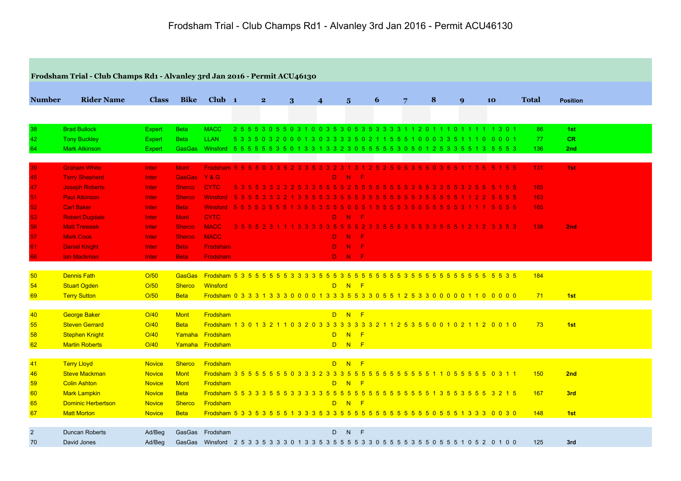|                 | Frodsham Trial - Club Champs Rd1 - Alvanley 3rd Jan 2016 - Permit ACU46130 |               |               |                   |           |                |   |                  |                     |   |   |   |              |                                                                                          |              |                 |
|-----------------|----------------------------------------------------------------------------|---------------|---------------|-------------------|-----------|----------------|---|------------------|---------------------|---|---|---|--------------|------------------------------------------------------------------------------------------|--------------|-----------------|
|                 |                                                                            |               |               |                   |           |                |   |                  |                     |   |   |   |              |                                                                                          |              |                 |
| <b>Number</b>   | <b>Rider Name</b>                                                          | <b>Class</b>  | <b>Bike</b>   | Club <sub>1</sub> |           | 2 <sup>1</sup> | 3 | $\boldsymbol{4}$ | $\overline{5}$      | 6 | 7 | 8 | $\mathbf{Q}$ | 10                                                                                       | <b>Total</b> | <b>Position</b> |
|                 |                                                                            |               |               |                   |           |                |   |                  |                     |   |   |   |              |                                                                                          |              |                 |
| 38              | <b>Brad Bullock</b>                                                        | <b>Expert</b> | <b>Beta</b>   | <b>MACC</b>       |           |                |   |                  |                     |   |   |   |              | 2555305503100353053533331120111011111301                                                 | 86           | 1st             |
| 42              | <b>Tony Buckley</b>                                                        | <b>Expert</b> | <b>Beta</b>   | <b>LLAN</b>       |           |                |   |                  |                     |   |   |   |              | 5 3 3 5 0 3 2 0 0 0 1 3 0 3 3 3 3 5 0 2 1 1 5 5 5 1 0 0 0 3 3 5 1 1 1 0 0 0 0 1          | 77           | CR.             |
| 64              | <b>Mark Atkinson</b>                                                       | <b>Expert</b> | <b>GasGas</b> |                   |           |                |   |                  |                     |   |   |   |              | Winsford 5555553501331332305555530501253355135553                                        | 136          | 2nd             |
| 39              | <b>Graham White</b>                                                        | Inter         | <b>Mont</b>   |                   |           |                |   |                  |                     |   |   |   |              | Frodsham 5 5 5 5 0 3 3 5 2 3 3 5 3 3 2 3 1 3 1 2 5 2 5 0 5 3 5 5 0 3 5 5 1 1 3 5 5 1 5 5 | 131          | 1st             |
| 45              | <b>Terry Shepherd</b>                                                      | Inter         | GasGas Y&G    |                   |           |                |   |                  | D N F               |   |   |   |              |                                                                                          |              |                 |
| 47              | <b>Joseph Roberts</b>                                                      | Inter         | <b>Sherco</b> | <b>CYTC</b>       |           |                |   |                  |                     |   |   |   |              | 5 3 5 5 3 3 3 3 2 5 3 3 5 5 5 5 6 7 5 5 5 5 5 5 5 5 6 5 6 5 6 7 8 7 8 9 70 7             | 165          |                 |
| 51              | <b>Paul Atkinson</b>                                                       | Inter         | <b>Sherco</b> | Winsford 55553332 |           |                |   |                  |                     |   |   |   |              |                                                                                          | 163          |                 |
| 52              | <b>Carl Baker</b>                                                          | Inter         | <b>Beta</b>   |                   |           |                |   |                  |                     |   |   |   |              | Winsford 5555355513553555055155553555555531115555                                        | 165          |                 |
| 53              | <b>Robert Dugdale</b>                                                      | Inter         | <b>Mont</b>   | <b>CYTC</b>       |           |                |   | D.               | $\mathbf{N}$<br>- F |   |   |   |              |                                                                                          |              |                 |
| 56              | <b>Matt Treweek</b>                                                        | <b>Inter</b>  | <b>Sherco</b> | <b>MACC</b>       | $3\,5\,5$ |                |   |                  |                     |   |   |   |              | 3 3 5 5 5 5 2 3 3 5 5 5 3 5 5 3 3 5 5 5 1 2 1 2 3 3 5 3                                  | 138          | 2nd             |
| 57              | <b>Mark Cook</b>                                                           | Inter         | <b>Sherco</b> | <b>MACC</b>       |           |                |   |                  | D N F               |   |   |   |              |                                                                                          |              |                 |
| 61 <sub>1</sub> | <b>Daniel Knight</b>                                                       | Inter         | <b>Beta</b>   | Frodsham          |           |                |   |                  | D N F               |   |   |   |              |                                                                                          |              |                 |
| 66              | <b>lan Mackman</b>                                                         | <b>Inter</b>  | <b>Beta</b>   | Frodsham          |           |                |   |                  | D N F               |   |   |   |              |                                                                                          |              |                 |
|                 |                                                                            |               |               |                   |           |                |   |                  |                     |   |   |   |              |                                                                                          |              |                 |
| 50              | <b>Dennis Fath</b>                                                         | O/50          | <b>GasGas</b> |                   |           |                |   |                  |                     |   |   |   |              |                                                                                          | 184          |                 |
| 54              | <b>Stuart Ogden</b>                                                        | O/50          | <b>Sherco</b> | Winsford          |           |                |   |                  | D N F               |   |   |   |              |                                                                                          |              |                 |
| 69              | <b>Terry Sutton</b>                                                        | O/50          | <b>Beta</b>   |                   |           |                |   |                  |                     |   |   |   |              | Frodsham 0 3 3 3 1 3 3 3 0 0 0 0 1 3 3 3 5 5 3 3 0 5 5 1 2 5 3 3 0 0 0 0 0 1 1 0 0 0 0 0 | 71           | 1st             |
| 40              | George Baker                                                               | O/40          | <b>Mont</b>   | Frodsham          |           |                |   |                  | D N F               |   |   |   |              |                                                                                          |              |                 |
| 55              | <b>Steven Gerrard</b>                                                      | O/40          | <b>Beta</b>   |                   |           |                |   |                  |                     |   |   |   |              | Frodsham 1 3 0 1 3 2 1 1 0 3 2 0 3 3 3 3 3 3 3 3 2 1 1 2 5 3 5 5 0 0 1 0 2 1 1 2 0 0 1 0 | 73           | 1st             |
| 58              | <b>Stephen Knight</b>                                                      | O/40          |               | Yamaha Frodsham   |           |                |   |                  | D N F               |   |   |   |              |                                                                                          |              |                 |
| 62              | <b>Martin Roberts</b>                                                      | O/40          |               | Yamaha Frodsham   |           |                |   |                  | D N F               |   |   |   |              |                                                                                          |              |                 |
| 41              | <b>Terry Lloyd</b>                                                         | <b>Novice</b> | <b>Sherco</b> | Frodsham          |           |                |   |                  | D N F               |   |   |   |              |                                                                                          |              |                 |
| 46              | <b>Steve Mackman</b>                                                       | <b>Novice</b> | <b>Mont</b>   |                   |           |                |   |                  |                     |   |   |   |              |                                                                                          | 150          | 2nd             |
| 59              | <b>Colin Ashton</b>                                                        | <b>Novice</b> | <b>Mont</b>   | Frodsham          |           |                |   |                  | D N F               |   |   |   |              |                                                                                          |              |                 |
| 60              | <b>Mark Lampkin</b>                                                        | <b>Novice</b> | <b>Beta</b>   |                   |           |                |   |                  |                     |   |   |   |              |                                                                                          | 167          | 3rd             |
| 65              | <b>Dominic Herbertson</b>                                                  | <b>Novice</b> | <b>Sherco</b> | Frodsham          |           |                |   |                  | D N F               |   |   |   |              |                                                                                          |              |                 |
| 67              | <b>Matt Morton</b>                                                         | <b>Novice</b> | <b>Beta</b>   |                   |           |                |   |                  |                     |   |   |   |              |                                                                                          | 148          | 1st             |
|                 |                                                                            |               |               |                   |           |                |   |                  |                     |   |   |   |              |                                                                                          |              |                 |
| $\overline{2}$  | <b>Duncan Roberts</b>                                                      | Ad/Beg        |               | GasGas Frodsham   |           |                |   | D                | N<br>$-F$           |   |   |   |              |                                                                                          |              |                 |
| 70              | David Jones                                                                | Ad/Beg        |               |                   |           |                |   |                  |                     |   |   |   |              | GasGas Winsford 25335333013355555533055555555555510520100                                | 125          | 3rd             |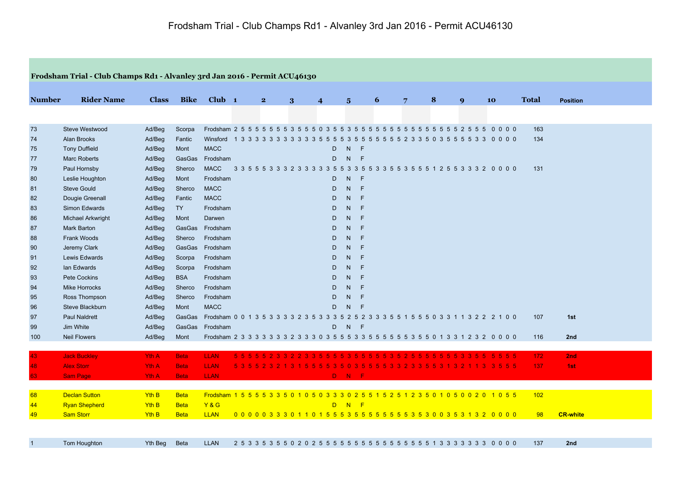|                | Frodsham Trial - Club Champs Rd1 - Alvanley 3rd Jan 2016 - Permit ACU46130 |              |             |                                                                                            |         |                |   |                                       |                         |              |   |       |                     |                |     |              |     |                                                                                   |              |                 |
|----------------|----------------------------------------------------------------------------|--------------|-------------|--------------------------------------------------------------------------------------------|---------|----------------|---|---------------------------------------|-------------------------|--------------|---|-------|---------------------|----------------|-----|--------------|-----|-----------------------------------------------------------------------------------|--------------|-----------------|
| <b>Number</b>  | <b>Rider Name</b>                                                          | <b>Class</b> | <b>Bike</b> | $Club$ 1                                                                                   |         | $\overline{2}$ | 3 | $\overline{\mathbf{4}}$               | $\overline{\mathbf{5}}$ |              | 6 |       | $\overline{7}$      | 8              |     | $\mathbf{Q}$ |     | 10                                                                                | <b>Total</b> | <b>Position</b> |
|                |                                                                            |              |             |                                                                                            |         |                |   |                                       |                         |              |   |       |                     |                |     |              |     |                                                                                   |              |                 |
|                |                                                                            |              |             |                                                                                            |         |                |   |                                       |                         |              |   |       |                     |                |     |              |     |                                                                                   |              |                 |
| 73             | Steve Westwood                                                             | Ad/Beg       | Scorpa      | Frodsham 2 5 5 5 5 5 5 5 5 3 5 5 6 0 3 5 5 3 5 5 5 5 5                                     |         |                |   |                                       |                         |              |   | 5 5 5 | 5 5 5 5 5 5 5 5 2 5 |                |     |              | 55  | 000<br>$\overline{\mathbf{0}}$                                                    | 163          |                 |
| 74             | <b>Alan Brooks</b>                                                         | Ad/Beg       | Fantic      | Winsford 1 3 3 3 3 3 3 3 3 3 3 5 5                                                         |         |                |   | -5                                    | 5<br>-3                 | -5<br>5      |   |       |                     |                |     |              |     | 5 5 5 5 5 2 3 3 5 0 3 5 5 5 5 3 3 0 0 0 0                                         | 134          |                 |
| 75             | <b>Tony Duffield</b>                                                       | Ad/Beg       | Mont        | <b>MACC</b>                                                                                |         |                |   | D                                     | N.                      | F            |   |       |                     |                |     |              |     |                                                                                   |              |                 |
| 77             | <b>Marc Roberts</b>                                                        | Ad/Beg       | GasGas      | Frodsham                                                                                   |         |                |   | D                                     | N                       | $-F$         |   |       |                     |                |     |              |     |                                                                                   |              |                 |
| 79             | Paul Hornsby                                                               | Ad/Beg       | Sherco      | <b>MACC</b>                                                                                |         |                |   |                                       |                         |              |   |       |                     |                |     |              |     | 3 3 5 5 5 3 3 3 2 3 3 3 3 3 5 5 3 3 5 5 3 3 5 5 3 5 5 5 6 7 2 5 5 3 3 3 2 0 0 0 0 | 131          |                 |
| 80             | Leslie Houghton                                                            | Ad/Beg       | Mont        | Frodsham                                                                                   |         |                |   | D                                     | N                       | $\mathsf{F}$ |   |       |                     |                |     |              |     |                                                                                   |              |                 |
| 81             | <b>Steve Gould</b>                                                         | Ad/Beg       | Sherco      | <b>MACC</b>                                                                                |         |                |   | D                                     | N                       | E            |   |       |                     |                |     |              |     |                                                                                   |              |                 |
| 82             | Dougie Greenall                                                            | Ad/Beg       | Fantic      | <b>MACC</b>                                                                                |         |                |   | D                                     | N.                      | E            |   |       |                     |                |     |              |     |                                                                                   |              |                 |
| 83             | Simon Edwards                                                              | Ad/Beg       | <b>TY</b>   | Frodsham                                                                                   |         |                |   | D                                     | N.                      | E            |   |       |                     |                |     |              |     |                                                                                   |              |                 |
| 86             | <b>Michael Arkwright</b>                                                   | Ad/Beg       | Mont        | Darwen                                                                                     |         |                |   | D                                     | N.                      | E            |   |       |                     |                |     |              |     |                                                                                   |              |                 |
| 87             | <b>Mark Barton</b>                                                         | Ad/Beg       | GasGas      | Frodsham                                                                                   |         |                |   | D                                     | N                       | E            |   |       |                     |                |     |              |     |                                                                                   |              |                 |
| 88             | Frank Woods                                                                | Ad/Beg       | Sherco      | Frodsham                                                                                   |         |                |   | D                                     | N                       | F            |   |       |                     |                |     |              |     |                                                                                   |              |                 |
| 90             | Jeremy Clark                                                               | Ad/Beg       | GasGas      | Frodsham                                                                                   |         |                |   | D                                     | N.                      | F            |   |       |                     |                |     |              |     |                                                                                   |              |                 |
| 91             | Lewis Edwards                                                              | Ad/Beg       | Scorpa      | Frodsham                                                                                   |         |                |   | D                                     | N.                      | F            |   |       |                     |                |     |              |     |                                                                                   |              |                 |
| 92             | lan Edwards                                                                | Ad/Beg       | Scorpa      | Frodsham                                                                                   |         |                |   | D                                     | N                       | $\mathsf{F}$ |   |       |                     |                |     |              |     |                                                                                   |              |                 |
| 93             | <b>Pete Cockins</b>                                                        | Ad/Beg       | <b>BSA</b>  | Frodsham                                                                                   |         |                |   | D                                     | N.                      | F            |   |       |                     |                |     |              |     |                                                                                   |              |                 |
| 94             | <b>Mike Horrocks</b>                                                       | Ad/Beg       | Sherco      | Frodsham                                                                                   |         |                |   | D                                     | N.                      | F            |   |       |                     |                |     |              |     |                                                                                   |              |                 |
| 95             | Ross Thompson                                                              | Ad/Beg       | Sherco      | Frodsham                                                                                   |         |                |   | D                                     | N.                      | E            |   |       |                     |                |     |              |     |                                                                                   |              |                 |
| 96             | Steve Blackburn                                                            | Ad/Beg       | Mont        | <b>MACC</b>                                                                                |         |                |   | D                                     | $\mathsf{N}$            | E            |   |       |                     |                |     |              |     |                                                                                   |              |                 |
| 97             | <b>Paul Naldrett</b>                                                       | Ad/Beg       | GasGas      | Frodsham 0 0 1 3 5 3 3 3 3 2 3 5 3 3 3 5 2 5 2 3 3 3 5 5 1 5 5 5 0 3 3 1 1 3 2 2 2 1 0 0   |         |                |   |                                       |                         |              |   |       |                     |                |     |              |     |                                                                                   | 107          | 1st             |
| 99             | Jim White                                                                  | Ad/Beg       | GasGas      | Frodsham                                                                                   |         |                |   | D                                     | N                       | F            |   |       |                     |                |     |              |     |                                                                                   |              |                 |
| 100            | <b>Neil Flowers</b>                                                        | Ad/Beg       | Mont        | Frodsham 2 3 3 3 3 3 3 3 2 3 3 3 0 3 5 5 5 3 3 5 5 5 5 5 5 5 5 5 6 0 1 3 3 1 2 3 2 0 0 0 0 |         |                |   |                                       |                         |              |   |       |                     |                |     |              |     |                                                                                   | 116          | 2nd             |
|                |                                                                            |              |             |                                                                                            |         |                |   |                                       |                         |              |   |       |                     |                |     |              |     |                                                                                   |              |                 |
| 43             | <b>Jack Buckley</b>                                                        | Yth A        | <b>Beta</b> | <b>LLAN</b>                                                                                | 5, 5, 5 |                |   | 2 2 3 3 5 5 5 5 5 3 5 5 5 5 5 3 5 2 5 |                         |              |   |       |                     | 5 <sub>5</sub> | -5. |              | 5.5 | 5555                                                                              | 172          | 2nd             |
| 48             | <b>Alex Storr</b>                                                          | Yth A        | <b>Beta</b> | <b>LLAN</b>                                                                                |         |                |   |                                       |                         |              |   |       |                     |                |     |              |     | 3 1 5 5 5 5 3 5 0 3 5 5 5 5 3 3 2 3 3 5 5 3 1 3 2 1 1 3 3 5 5 5                   | 137          | 1st             |
| 63             | <b>Sam Page</b>                                                            | Yth A        | <b>Beta</b> | <b>LLAN</b>                                                                                |         |                |   |                                       | D N F                   |              |   |       |                     |                |     |              |     |                                                                                   |              |                 |
|                |                                                                            |              |             |                                                                                            |         |                |   |                                       |                         |              |   |       |                     |                |     |              |     |                                                                                   |              |                 |
| 68             | <b>Declan Sutton</b>                                                       | Yth B        | <b>Beta</b> | Frodsham 1 5 5 5 5 3 3 5 0 1 0 5 0 3 3 3 0 2 5 5 1 5 2 5 1 2 3 5 0 1 0 5 0 0 2 0 1 0 5 5   |         |                |   |                                       |                         |              |   |       |                     |                |     |              |     |                                                                                   | 102          |                 |
| 44             | <b>Ryan Shepherd</b>                                                       | Yth B        | <b>Beta</b> | <b>Y&amp;G</b>                                                                             |         |                |   |                                       | D N F                   |              |   |       |                     |                |     |              |     |                                                                                   |              |                 |
| 49             | <b>Sam Storr</b>                                                           | Yth B        | <b>Beta</b> | <b>LLAN</b>                                                                                |         |                |   |                                       |                         |              |   |       |                     |                |     |              |     | 0 0 0 0 0 3 3 3 0 1 1 0 1 5 5 5 3 5 5 5 5 5 5 5 5 5 3 5 3 0 0 3 5 3 1 3 2 0 0 0 0 | 98           | <b>CR-white</b> |
|                |                                                                            |              |             |                                                                                            |         |                |   |                                       |                         |              |   |       |                     |                |     |              |     |                                                                                   |              |                 |
|                |                                                                            |              |             |                                                                                            |         |                |   |                                       |                         |              |   |       |                     |                |     |              |     |                                                                                   |              |                 |
| $\overline{1}$ | Tom Houghton                                                               | Yth Beg      | <b>Beta</b> | <b>LLAN</b>                                                                                |         |                |   |                                       |                         |              |   |       |                     |                |     |              |     |                                                                                   | 137          | 2nd             |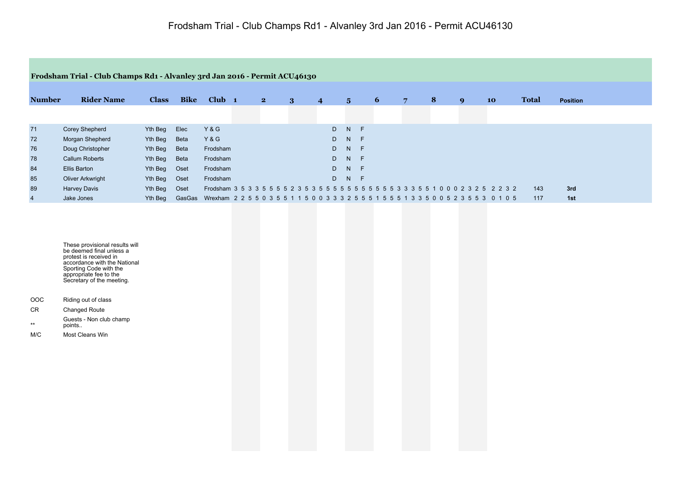|                | Frodsham Trial - Club Champs Rd1 - Alvanley 3rd Jan 2016 - Permit ACU46130 |              |             |                                                                                                |              |   |                |                |    |   |   |   |                  |           |              |                 |  |
|----------------|----------------------------------------------------------------------------|--------------|-------------|------------------------------------------------------------------------------------------------|--------------|---|----------------|----------------|----|---|---|---|------------------|-----------|--------------|-----------------|--|
|                |                                                                            |              |             |                                                                                                |              |   |                |                |    |   |   |   |                  |           |              |                 |  |
| <b>Number</b>  | <b>Rider Name</b>                                                          | <b>Class</b> | <b>Bike</b> | $Club$ 1                                                                                       | $\mathbf{2}$ | 3 | $\overline{4}$ | $5^{\circ}$    |    | 6 | 7 | 8 | $\boldsymbol{q}$ | <b>10</b> | <b>Total</b> | <b>Position</b> |  |
|                |                                                                            |              |             |                                                                                                |              |   |                |                |    |   |   |   |                  |           |              |                 |  |
| 71             | <b>Corey Shepherd</b>                                                      | Yth Beg      | Elec        | Y&G                                                                                            |              |   |                | D <sub>N</sub> | -F |   |   |   |                  |           |              |                 |  |
| 72             | Morgan Shepherd                                                            | Yth Beg      | Beta        | Y&G                                                                                            |              |   |                | D N F          |    |   |   |   |                  |           |              |                 |  |
| 76             | Doug Christopher                                                           | Yth Beg      | Beta        | Frodsham                                                                                       |              |   |                | D N F          |    |   |   |   |                  |           |              |                 |  |
| 78             | <b>Callum Roberts</b>                                                      | Yth Beg      | Beta        | Frodsham                                                                                       |              |   |                | D N F          |    |   |   |   |                  |           |              |                 |  |
| 84             | Ellis Barton                                                               | Yth Beg      | Oset        | Frodsham                                                                                       |              |   |                | D N F          |    |   |   |   |                  |           |              |                 |  |
| 85             | Oliver Arkwright                                                           | Yth Beg      | Oset        | Frodsham                                                                                       |              |   |                | D N F          |    |   |   |   |                  |           |              |                 |  |
| 89             | <b>Harvey Davis</b>                                                        | Yth Beg      | Oset        |                                                                                                |              |   |                |                |    |   |   |   |                  |           | 143          | 3rd             |  |
| $\overline{4}$ | Jake Jones                                                                 | Yth Beg      |             | GasGas Wrexham 2 2 5 5 0 3 5 5 1 1 5 0 0 3 3 3 2 5 5 5 1 5 5 5 1 3 3 5 0 0 5 2 3 5 5 3 0 1 0 5 |              |   |                |                |    |   |   |   |                  |           | 117          | 1st             |  |

These provisional results will be deemed final unless a protest is received in accordance with the National Sporting Code with the appropriate fee to the Secretary of the meeting.

- OOC Riding out of class
- CR Changed Route
- \*\* Guests - Non club champ points..
- M/C Most Cleans Win